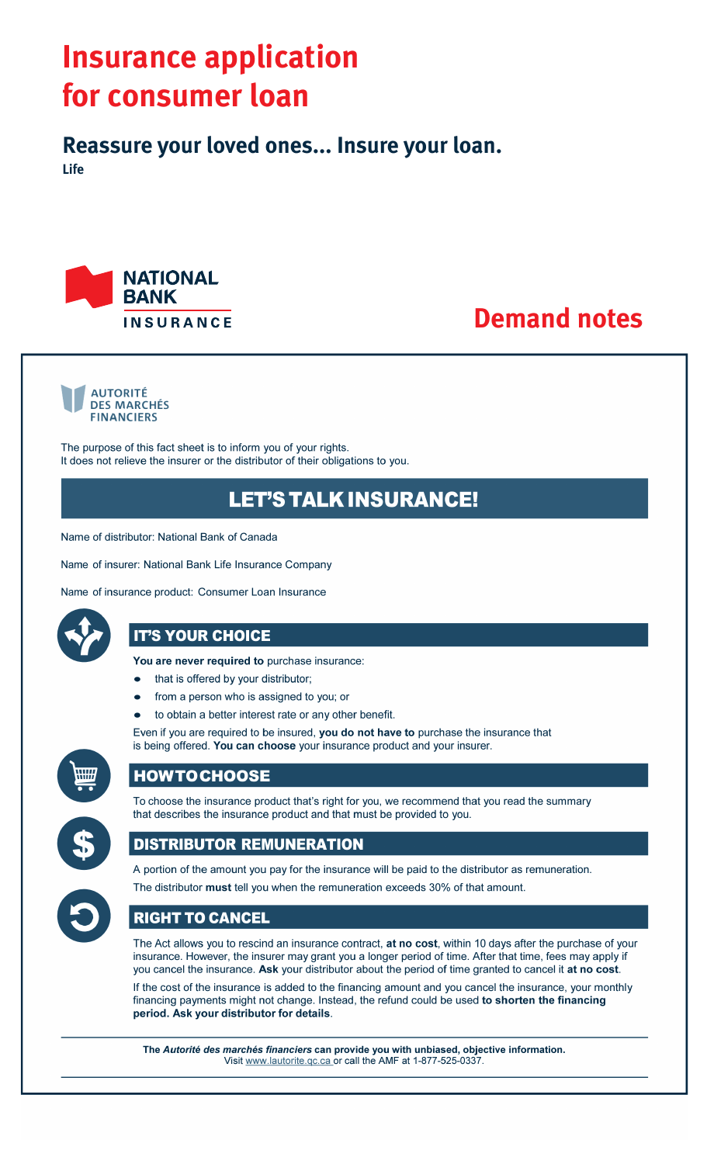# **Insurance application** for consumer loan

Reassure your loved ones... Insure your loan. **Life** 



# **Demand notes**



The purpose of this fact sheet is to inform you of your rights. It does not relieve the insurer or the distributor of their obligations to you.

# **LET'S TALK INSURANCE!**

Name of distributor: National Bank of Canada

Name of insurer: National Bank Life Insurance Company

Name of insurance product: Consumer Loan Insurance



# **IT'S YOUR CHOICE**

You are never required to purchase insurance:

- that is offered by your distributor;
- from a person who is assigned to you; or
- to obtain a better interest rate or any other benefit.

Even if you are required to be insured, you do not have to purchase the insurance that is being offered. You can choose your insurance product and your insurer.



# **HOWTOCHOOSE**



To choose the insurance product that's right for you, we recommend that you read the summary that describes the insurance product and that must be provided to you.

# **DISTRIBUTOR REMUNERATION**



A portion of the amount you pay for the insurance will be paid to the distributor as remuneration. The distributor must tell you when the remuneration exceeds 30% of that amount.

# **RIGHT TO CANCEL**

The Act allows you to rescind an insurance contract, at no cost, within 10 days after the purchase of your insurance. However, the insurer may grant you a longer period of time. After that time, fees may apply if you cancel the insurance. Ask your distributor about the period of time granted to cancel it at no cost.

If the cost of the insurance is added to the financing amount and you cancel the insurance, your monthly financing payments might not change. Instead, the refund could be used to shorten the financing period. Ask your distributor for details.

The Autorité des marchés financiers can provide you with unbiased, objective information. Visit www.lautorite.qc.ca or call the AMF at 1-877-525-0337.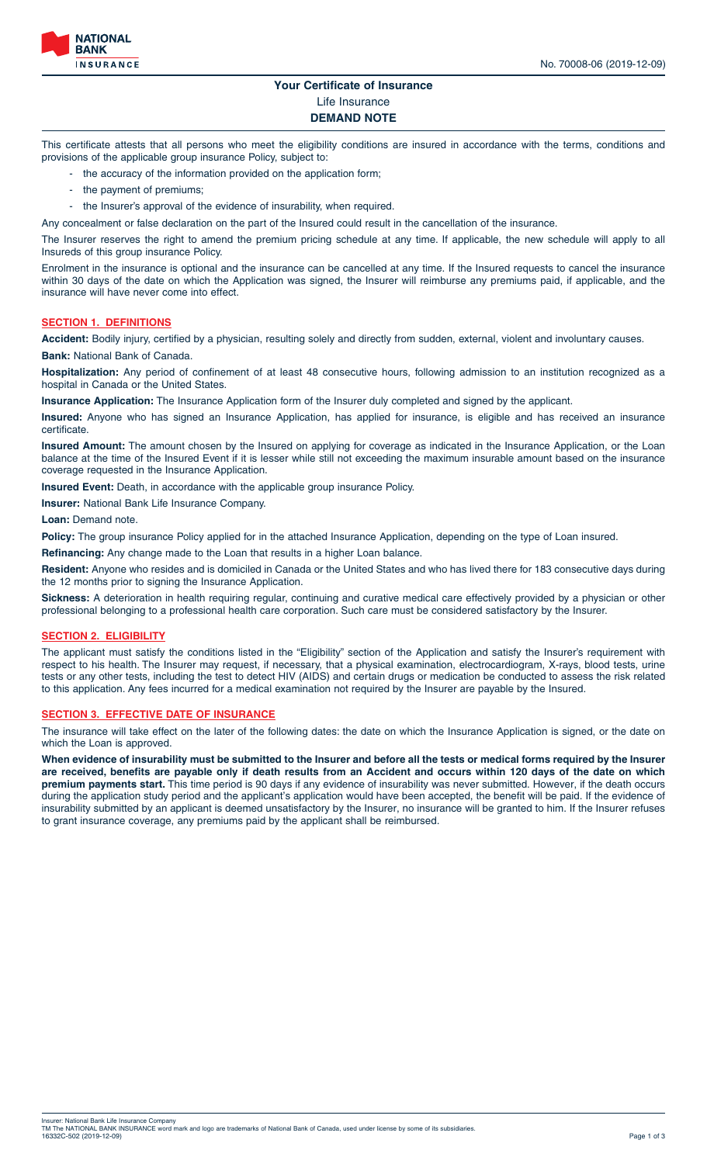

## **Your Certificate of Insurance** Life Insurance

### **DEMAND NOTE**

This certificate attests that all persons who meet the eligibility conditions are insured in accordance with the terms, conditions and provisions of the applicable group insurance Policy, subject to:

- the accuracy of the information provided on the application form;
- the payment of premiums;
- the Insurer's approval of the evidence of insurability, when required.

Any concealment or false declaration on the part of the Insured could result in the cancellation of the insurance.

The Insurer reserves the right to amend the premium pricing schedule at any time. If applicable, the new schedule will apply to all Insureds of this group insurance Policy.

Enrolment in the insurance is optional and the insurance can be cancelled at any time. If the Insured requests to cancel the insurance within 30 days of the date on which the Application was signed, the Insurer will reimburse any premiums paid, if applicable, and the insurance will have never come into effect.

#### **SECTION 1. DEFINITIONS**

**Accident:** Bodily injury, certified by a physician, resulting solely and directly from sudden, external, violent and involuntary causes. **Bank:** National Bank of Canada.

**Hospitalization:** Any period of confinement of at least 48 consecutive hours, following admission to an institution recognized as a hospital in Canada or the United States.

**Insurance Application:** The Insurance Application form of the Insurer duly completed and signed by the applicant.

**Insured:** Anyone who has signed an Insurance Application, has applied for insurance, is eligible and has received an insurance certificate.

**Insured Amount:** The amount chosen by the Insured on applying for coverage as indicated in the Insurance Application, or the Loan balance at the time of the Insured Event if it is lesser while still not exceeding the maximum insurable amount based on the insurance coverage requested in the Insurance Application.

**Insured Event:** Death, in accordance with the applicable group insurance Policy.

**Insurer:** National Bank Life Insurance Company.

**Loan: Demand note** 

Policy: The group insurance Policy applied for in the attached Insurance Application, depending on the type of Loan insured.

**Refinancing:** Any change made to the Loan that results in a higher Loan balance.

**Resident:** Anyone who resides and is domiciled in Canada or the United States and who has lived there for 183 consecutive days during the 12 months prior to signing the Insurance Application.

**Sickness:** A deterioration in health requiring regular, continuing and curative medical care effectively provided by a physician or other professional belonging to a professional health care corporation. Such care must be considered satisfactory by the Insurer.

#### **SECTION 2. ELIGIBILITY**

The applicant must satisfy the conditions listed in the "Eligibility" section of the Application and satisfy the Insurer's requirement with respect to his health. The Insurer may request, if necessary, that a physical examination, electrocardiogram, X-rays, blood tests, urine tests or any other tests, including the test to detect HIV (AIDS) and certain drugs or medication be conducted to assess the risk related to this application. Any fees incurred for a medical examination not required by the Insurer are payable by the Insured.

#### **SECTION 3. EFFECTIVE DATE OF INSURANCE**

The insurance will take effect on the later of the following dates: the date on which the Insurance Application is signed, or the date on which the Loan is approved.

**When evidence of insurability must be submitted to the Insurer and before all the tests or medical forms required by the Insurer are received, benefits are payable only if death results from an Accident and occurs within 120 days of the date on which premium payments start.** This time period is 90 days if any evidence of insurability was never submitted. However, if the death occurs during the application study period and the applicant's application would have been accepted, the benefit will be paid. If the evidence of insurability submitted by an applicant is deemed unsatisfactory by the Insurer, no insurance will be granted to him. If the Insurer refuses to grant insurance coverage, any premiums paid by the applicant shall be reimbursed.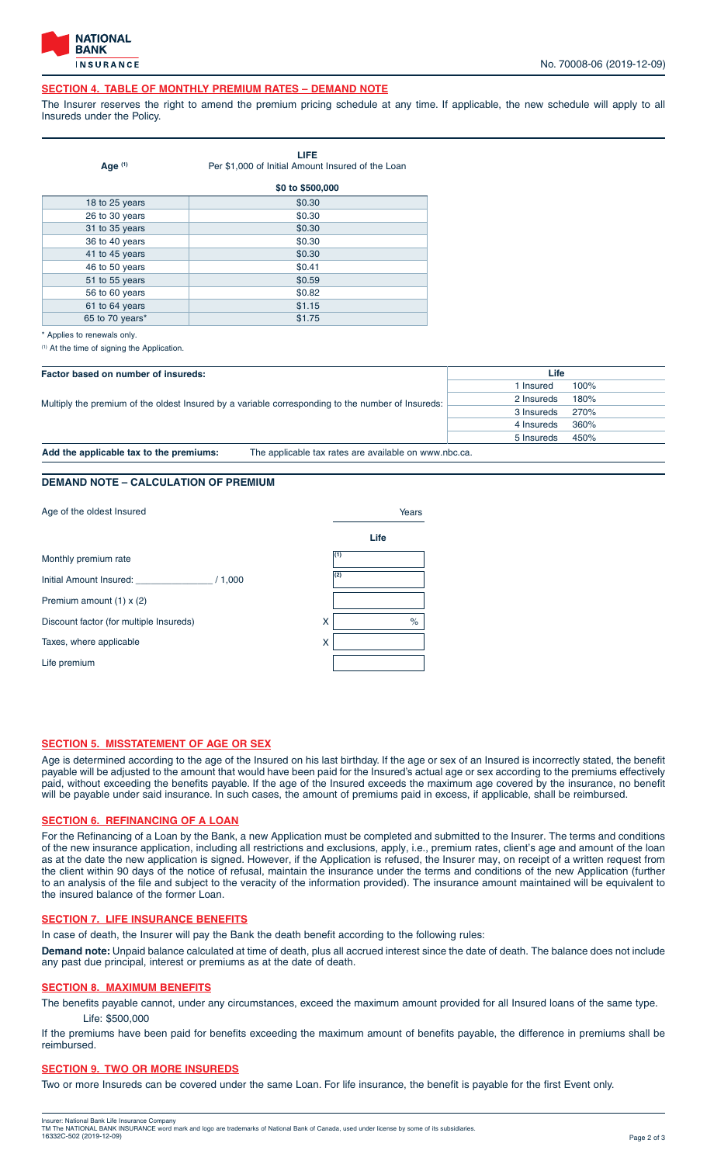

#### **SECTION 4. TABLE OF MONTHLY PREMIUM RATES – DEMAND NOTE**

The Insurer reserves the right to amend the premium pricing schedule at any time. If applicable, the new schedule will apply to all Insureds under the Policy.

| Age $(1)$       | LIFE<br>Per \$1,000 of Initial Amount Insured of the Loan |
|-----------------|-----------------------------------------------------------|
|                 | \$0 to \$500,000                                          |
| 18 to 25 years  | \$0.30                                                    |
| 26 to 30 years  | \$0.30                                                    |
| 31 to 35 years  | \$0.30                                                    |
| 36 to 40 years  | \$0.30                                                    |
| 41 to 45 years  | \$0.30                                                    |
| 46 to 50 years  | \$0.41                                                    |
| 51 to 55 years  | \$0.59                                                    |
| 56 to 60 years  | \$0.82                                                    |
| 61 to 64 years  | \$1.15                                                    |
| 65 to 70 years* | \$1.75                                                    |

\* Applies to renewals only.

(1) At the time of signing the Application.

| Factor based on number of insureds:                                                               |                                                       | Life               |  |
|---------------------------------------------------------------------------------------------------|-------------------------------------------------------|--------------------|--|
| Multiply the premium of the oldest Insured by a variable corresponding to the number of Insureds: |                                                       | 100%<br>I Insured  |  |
|                                                                                                   | 180%<br>2 Insureds                                    |                    |  |
|                                                                                                   |                                                       | 270%<br>3 Insureds |  |
|                                                                                                   |                                                       | 360%<br>4 Insureds |  |
|                                                                                                   |                                                       | 5 Insureds<br>450% |  |
| Add the applicable tax to the premiums:                                                           | The applicable tax rates are available on www.nbc.ca. |                    |  |

### **DEMAND NOTE – CALCULATION OF PREMIUM**

| Age of the oldest Insured                    | Years |  |
|----------------------------------------------|-------|--|
|                                              | Life  |  |
| Monthly premium rate                         | (1)   |  |
| Initial Amount Insured:<br>/ 1,000           | (2)   |  |
| Premium amount (1) x (2)                     |       |  |
| Discount factor (for multiple Insureds)<br>X | $\%$  |  |
| Taxes, where applicable<br>x                 |       |  |
| Life premium                                 |       |  |

#### **SECTION 5. MISSTATEMENT OF AGE OR SEX**

Age is determined according to the age of the Insured on his last birthday. If the age or sex of an Insured is incorrectly stated, the benefit payable will be adjusted to the amount that would have been paid for the Insured's actual age or sex according to the premiums effectively paid, without exceeding the benefits payable. If the age of the Insured exceeds the maximum age covered by the insurance, no benefit will be payable under said insurance. In such cases, the amount of premiums paid in excess, if applicable, shall be reimbursed.

#### **SECTION 6. REFINANCING OF A LOAN**

For the Refinancing of a Loan by the Bank, a new Application must be completed and submitted to the Insurer. The terms and conditions of the new insurance application, including all restrictions and exclusions, apply, i.e., premium rates, client's age and amount of the loan as at the date the new application is signed. However, if the Application is refused, the Insurer may, on receipt of a written request from the client within 90 days of the notice of refusal, maintain the insurance under the terms and conditions of the new Application (further to an analysis of the file and subject to the veracity of the information provided). The insurance amount maintained will be equivalent to the insured balance of the former Loan.

#### **SECTION 7. LIFE INSURANCE BENEFITS**

In case of death, the Insurer will pay the Bank the death benefit according to the following rules:

**Demand note:** Unpaid balance calculated at time of death, plus all accrued interest since the date of death. The balance does not include any past due principal, interest or premiums as at the date of death.

#### **SECTION 8. MAXIMUM BENEFITS**

The benefits payable cannot, under any circumstances, exceed the maximum amount provided for all Insured loans of the same type. Life: \$500,000

If the premiums have been paid for benefits exceeding the maximum amount of benefits payable, the difference in premiums shall be reimbursed.

#### **SECTION 9. TWO OR MORE INSUREDS**

Two or more Insureds can be covered under the same Loan. For life insurance, the benefit is payable for the first Event only.